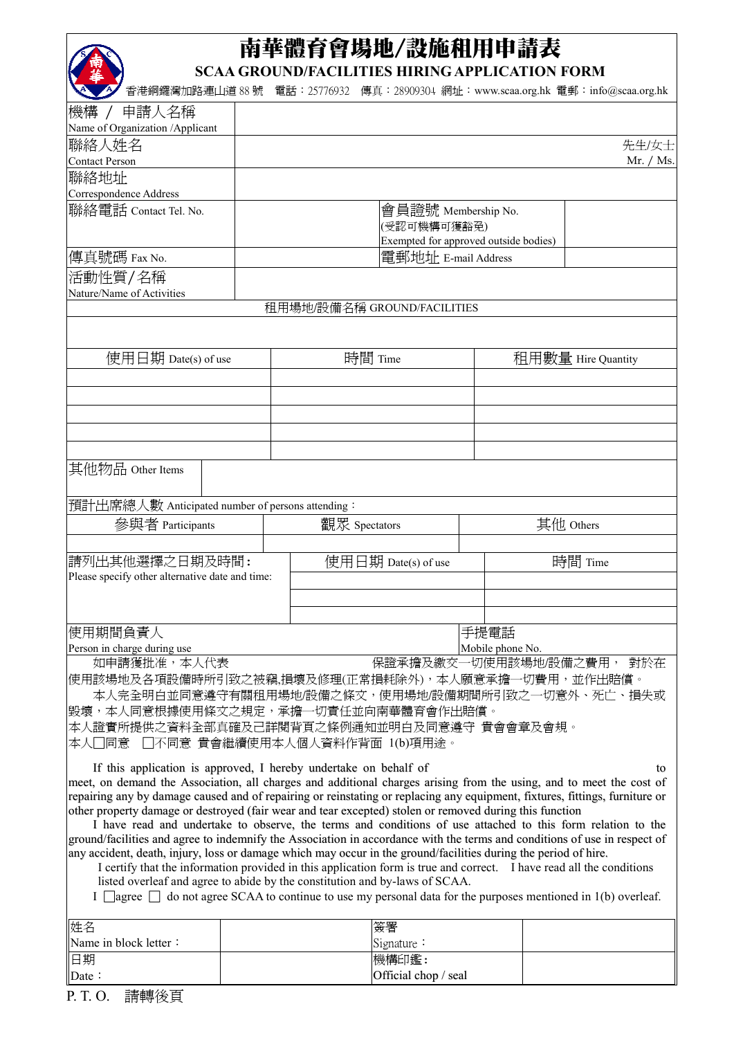## 南華體育會場地/設施租用申請表

**SCAA GROUND/FACILITIES HIRING APPLICATION FORM** 

香港銅鑼灣加路連山道 88 號 電話:25776932 傳真:28909304 網址:www.scaa.org.hk 電郵:info@scaa.org.hk

| 機構 / 申請人名稱                                                                                                                                                                                                                               |         |                     |                                       |      |         |                           |  |
|------------------------------------------------------------------------------------------------------------------------------------------------------------------------------------------------------------------------------------------|---------|---------------------|---------------------------------------|------|---------|---------------------------|--|
| Name of Organization /Applicant                                                                                                                                                                                                          |         |                     |                                       |      |         |                           |  |
| 聯絡人姓名                                                                                                                                                                                                                                    |         |                     |                                       |      |         | 先生/女士                     |  |
| <b>Contact Person</b>                                                                                                                                                                                                                    |         |                     |                                       |      |         | Mr. / Ms.                 |  |
| 聯絡地址                                                                                                                                                                                                                                     |         |                     |                                       |      |         |                           |  |
| Correspondence Address                                                                                                                                                                                                                   |         |                     |                                       |      |         |                           |  |
| 聯絡電話 Contact Tel. No.                                                                                                                                                                                                                    |         |                     | 會員證號 Membership No.                   |      |         |                           |  |
|                                                                                                                                                                                                                                          |         |                     | (受認可機構可獲豁免)                           |      |         |                           |  |
|                                                                                                                                                                                                                                          |         |                     | Exempted for approved outside bodies) |      |         |                           |  |
| 傳真號碼 Fax No.                                                                                                                                                                                                                             |         |                     | 電郵地址 E-mail Address                   |      |         |                           |  |
| 活動性質/名稱                                                                                                                                                                                                                                  |         |                     |                                       |      |         |                           |  |
| Nature/Name of Activities                                                                                                                                                                                                                |         |                     |                                       |      |         |                           |  |
|                                                                                                                                                                                                                                          |         |                     | 租用場地/設備名稱 GROUND/FACILITIES           |      |         |                           |  |
|                                                                                                                                                                                                                                          |         |                     |                                       |      |         |                           |  |
|                                                                                                                                                                                                                                          |         |                     |                                       |      |         |                           |  |
| 使用日期 Date(s) of use                                                                                                                                                                                                                      | 時間 Time |                     |                                       |      |         | 租用數量 Hire Quantity        |  |
|                                                                                                                                                                                                                                          |         |                     |                                       |      |         |                           |  |
|                                                                                                                                                                                                                                          |         |                     |                                       |      |         |                           |  |
|                                                                                                                                                                                                                                          |         |                     |                                       |      |         |                           |  |
|                                                                                                                                                                                                                                          |         |                     |                                       |      |         |                           |  |
|                                                                                                                                                                                                                                          |         |                     |                                       |      |         |                           |  |
|                                                                                                                                                                                                                                          |         |                     |                                       |      |         |                           |  |
| 其他物品 Other Items                                                                                                                                                                                                                         |         |                     |                                       |      |         |                           |  |
|                                                                                                                                                                                                                                          |         |                     |                                       |      |         |                           |  |
| 預計出席總人數 Anticipated number of persons attending:                                                                                                                                                                                         |         |                     |                                       |      |         |                           |  |
| 參與者 Participants                                                                                                                                                                                                                         |         | 觀眾 Spectators       |                                       |      |         | 其他 Others                 |  |
|                                                                                                                                                                                                                                          |         |                     |                                       |      |         |                           |  |
|                                                                                                                                                                                                                                          |         |                     |                                       |      |         |                           |  |
| 請列出其他選擇之日期及時間:                                                                                                                                                                                                                           |         | 使用日期 Date(s) of use |                                       |      | 時間 Time |                           |  |
| Please specify other alternative date and time:                                                                                                                                                                                          |         |                     |                                       |      |         |                           |  |
|                                                                                                                                                                                                                                          |         |                     |                                       |      |         |                           |  |
|                                                                                                                                                                                                                                          |         |                     |                                       |      |         |                           |  |
| 使用期間負責人                                                                                                                                                                                                                                  |         |                     |                                       | 手提電話 |         |                           |  |
| Person in charge during use                                                                                                                                                                                                              |         | Mobile phone No.    |                                       |      |         |                           |  |
| 如申請獲批准,本人代表                                                                                                                                                                                                                              |         |                     |                                       |      |         | 保證承擔及繳交一切使用該場地/設備之費用, 對於在 |  |
| 使用該場地及各項設備時所引致之被竊,損壞及修理(正常損耗除外),本人願意承擔一切費用,並作出賠償。                                                                                                                                                                                        |         |                     |                                       |      |         |                           |  |
| 本人完全明白並同意遵守有關租用場地/設備之條文,使用場地/設備期間所引致之一切意外、死亡、損失或                                                                                                                                                                                         |         |                     |                                       |      |         |                           |  |
| 毀壞,本人同意根據使用條文之規定,承擔一切責任並向南華體育會作出賠償。                                                                                                                                                                                                      |         |                     |                                       |      |         |                           |  |
| 本人證實所提供之資料全部真確及己詳閱背頁之條例通知並明白及同意遵守 貴會會章及會規。                                                                                                                                                                                               |         |                     |                                       |      |         |                           |  |
| □不同意 貴會繼續使用本人個人資料作背面 1(b)項用途。<br>- 同意<br>本人                                                                                                                                                                                              |         |                     |                                       |      |         |                           |  |
|                                                                                                                                                                                                                                          |         |                     |                                       |      |         |                           |  |
| If this application is approved, I hereby undertake on behalf of                                                                                                                                                                         |         |                     |                                       |      |         | to                        |  |
| meet, on demand the Association, all charges and additional charges arising from the using, and to meet the cost of                                                                                                                      |         |                     |                                       |      |         |                           |  |
| repairing any by damage caused and of repairing or reinstating or replacing any equipment, fixtures, fittings, furniture or                                                                                                              |         |                     |                                       |      |         |                           |  |
| other property damage or destroyed (fair wear and tear excepted) stolen or removed during this function                                                                                                                                  |         |                     |                                       |      |         |                           |  |
| I have read and undertake to observe, the terms and conditions of use attached to this form relation to the<br>ground/facilities and agree to indemnify the Association in accordance with the terms and conditions of use in respect of |         |                     |                                       |      |         |                           |  |
| any accident, death, injury, loss or damage which may occur in the ground/facilities during the period of hire.                                                                                                                          |         |                     |                                       |      |         |                           |  |
| I certify that the information provided in this application form is true and correct. I have read all the conditions                                                                                                                     |         |                     |                                       |      |         |                           |  |
| listed overleaf and agree to abide by the constitution and by-laws of SCAA.                                                                                                                                                              |         |                     |                                       |      |         |                           |  |
| I agree $\Box$ do not agree SCAA to continue to use my personal data for the purposes mentioned in 1(b) overleaf.                                                                                                                        |         |                     |                                       |      |         |                           |  |
|                                                                                                                                                                                                                                          |         |                     |                                       |      |         |                           |  |
| 姓名                                                                                                                                                                                                                                       |         |                     | 簽署                                    |      |         |                           |  |
| Name in block letter:                                                                                                                                                                                                                    |         |                     | Signature:                            |      |         |                           |  |
| 日期                                                                                                                                                                                                                                       |         |                     | 機構印鑑:                                 |      |         |                           |  |
|                                                                                                                                                                                                                                          |         |                     |                                       |      |         |                           |  |

Official chop / seal

P. T. O. 請轉後頁

Date: